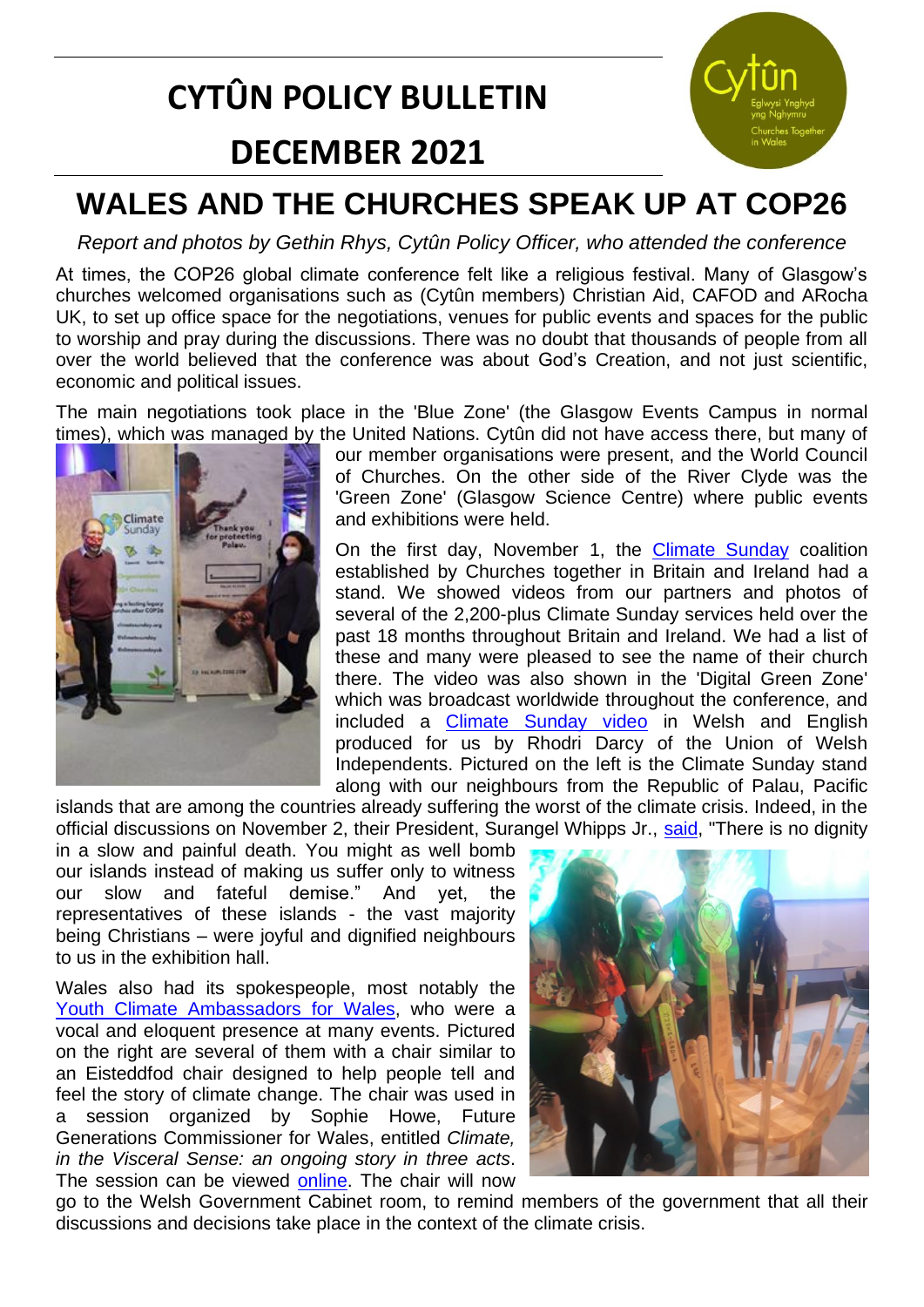# **CYTÛN POLICY BULLETIN**

# **DECEMBER 2021**



# **WALES AND THE CHURCHES SPEAK UP AT COP26**

*Report and photos by Gethin Rhys, Cytûn Policy Officer, who attended the conference*

At times, the COP26 global climate conference felt like a religious festival. Many of Glasgow's churches welcomed organisations such as (Cytûn members) Christian Aid, CAFOD and ARocha UK, to set up office space for the negotiations, venues for public events and spaces for the public to worship and pray during the discussions. There was no doubt that thousands of people from all over the world believed that the conference was about God's Creation, and not just scientific, economic and political issues.

The main negotiations took place in the 'Blue Zone' (the Glasgow Events Campus in normal times), which was managed by the United Nations. Cytûn did not have access there, but many of



our member organisations were present, and the World Council of Churches. On the other side of the River Clyde was the 'Green Zone' (Glasgow Science Centre) where public events and exhibitions were held.

On the first day, November 1, the **[Climate Sunday](https://www.climatesunday.org/)** coalition established by Churches together in Britain and Ireland had a stand. We showed videos from our partners and photos of several of the 2,200-plus Climate Sunday services held over the past 18 months throughout Britain and Ireland. We had a list of these and many were pleased to see the name of their church there. The video was also shown in the 'Digital Green Zone' which was broadcast worldwide throughout the conference, and included a **[Climate Sunday video](https://www.cytun.co.uk/hafan/en/climate-sunday/)** in Welsh and English produced for us by Rhodri Darcy of the Union of Welsh Independents. Pictured on the left is the Climate Sunday stand along with our neighbours from the Republic of Palau, Pacific

islands that are among the countries already suffering the worst of the climate crisis. Indeed, in the official discussions on November 2, their President, Surangel Whipps Jr., [said,](https://www.theguardian.com/world/video/2021/nov/02/cop26-you-might-as-well-bomb-us-says-president-of-palau-video) "There is no dignity

in a slow and painful death. You might as well bomb our islands instead of making us suffer only to witness our slow and fateful demise." And vet. representatives of these islands - the vast majority being Christians – were joyful and dignified neighbours to us in the exhibition hall.

Wales also had its spokespeople, most notably the [Youth Climate Ambassadors for Wales,](https://sizeofwales.org.uk/education/youth-climate-ambassadors-for-wales/) who were a vocal and eloquent presence at many events. Pictured on the right are several of them with a chair similar to an Eisteddfod chair designed to help people tell and feel the story of climate change. The chair was used in a session organized by Sophie Howe, Future Generations Commissioner for Wales, entitled *Climate, in the Visceral Sense: an ongoing story in three acts*. The session can be viewed [online.](https://www.youtube.com/watch?v=TEdY-aUsUWw) The chair will now



go to the Welsh Government Cabinet room, to remind members of the government that all their discussions and decisions take place in the context of the climate crisis.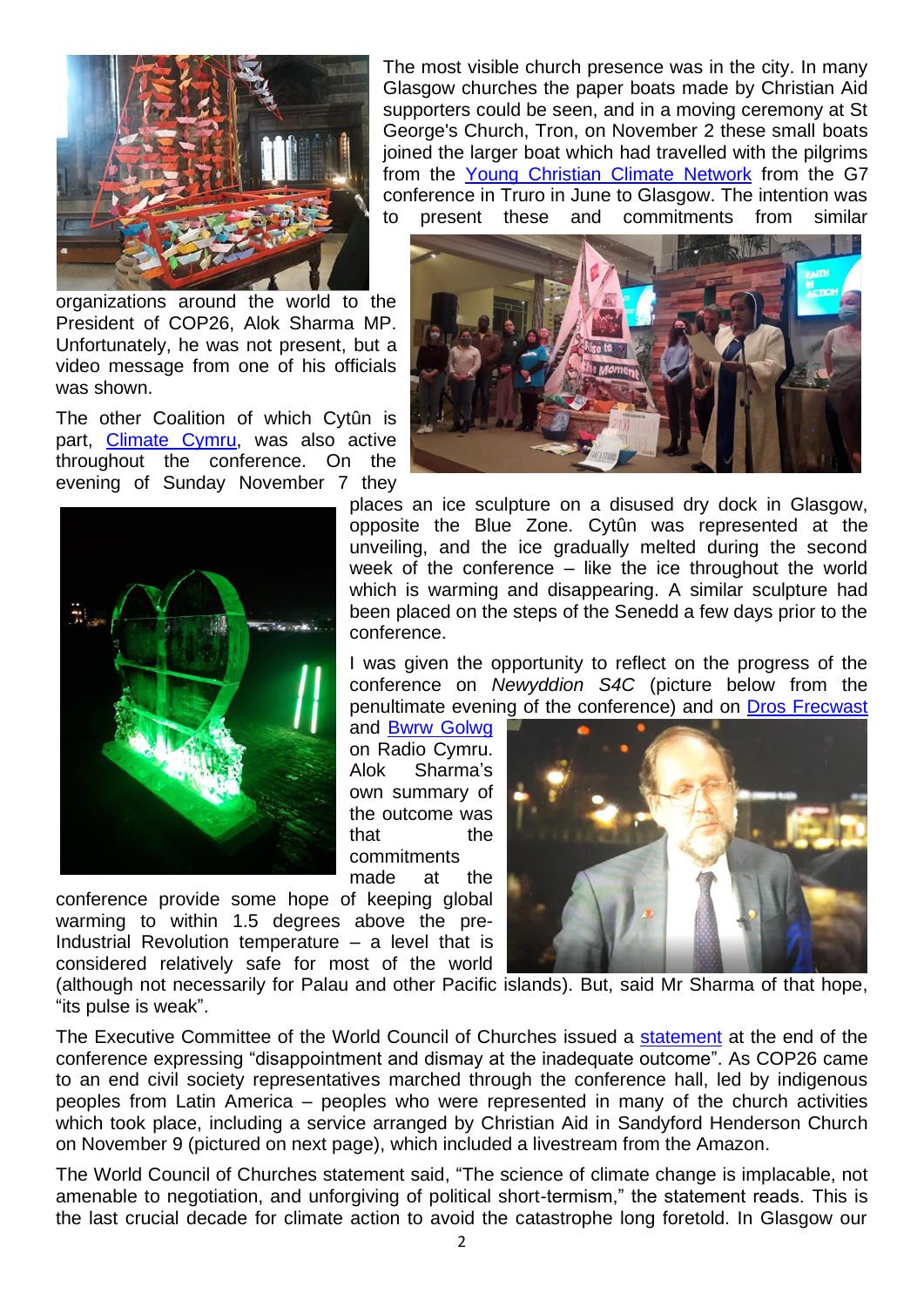

organizations around the world to the President of COP26, Alok Sharma MP. Unfortunately, he was not present, but a video message from one of his officials was shown.

The other Coalition of which Cytûn is part, [Climate Cymru,](https://climate.cymru/) was also active throughout the conference. On the evening of Sunday November 7 they



conference provide some hope of keeping global warming to within 1.5 degrees above the pre-Industrial Revolution temperature  $-$  a level that is considered relatively safe for most of the world

The most visible church presence was in the city. In many Glasgow churches the paper boats made by Christian Aid supporters could be seen, and in a moving ceremony at St George's Church, Tron, on November 2 these small boats joined the larger boat which had travelled with the pilgrims from the [Young Christian Climate Network](https://www.yccn.uk/) from the G7 conference in Truro in June to Glasgow. The intention was to present these and commitments from similar



places an ice sculpture on a disused dry dock in Glasgow, opposite the Blue Zone. Cytûn was represented at the unveiling, and the ice gradually melted during the second week of the conference – like the ice throughout the world which is warming and disappearing. A similar sculpture had been placed on the steps of the Senedd a few days prior to the conference.

I was given the opportunity to reflect on the progress of the conference on *Newyddion S4C* (picture below from the penultimate evening of the conference) and on [Dros Frecwast](https://www.bbc.co.uk/programmes/m0011d47)

and [Bwrw Golwg](https://www.bbc.co.uk/sounds/play/m0011k3h) on Radio Cymru. Alok Sharma's own summary of the outcome was that the commitments

made at the



(although not necessarily for Palau and other Pacific islands). But, said Mr Sharma of that hope, "its pulse is weak".

The Executive Committee of the World Council of Churches issued a [statement](https://www.oikoumene.org/resources/documents/statement-on-the-outcome-of-cop26) at the end of the conference expressing "disappointment and dismay at the inadequate outcome". As COP26 came to an end civil society representatives marched through the conference hall, led by indigenous peoples from Latin America – peoples who were represented in many of the church activities which took place, including a service arranged by Christian Aid in Sandyford Henderson Church on November 9 (pictured on next page), which included a livestream from the Amazon.

The World Council of Churches statement said, "The science of climate change is implacable, not amenable to negotiation, and unforgiving of political short-termism," the statement reads. This is the last crucial decade for climate action to avoid the catastrophe long foretold. In Glasgow our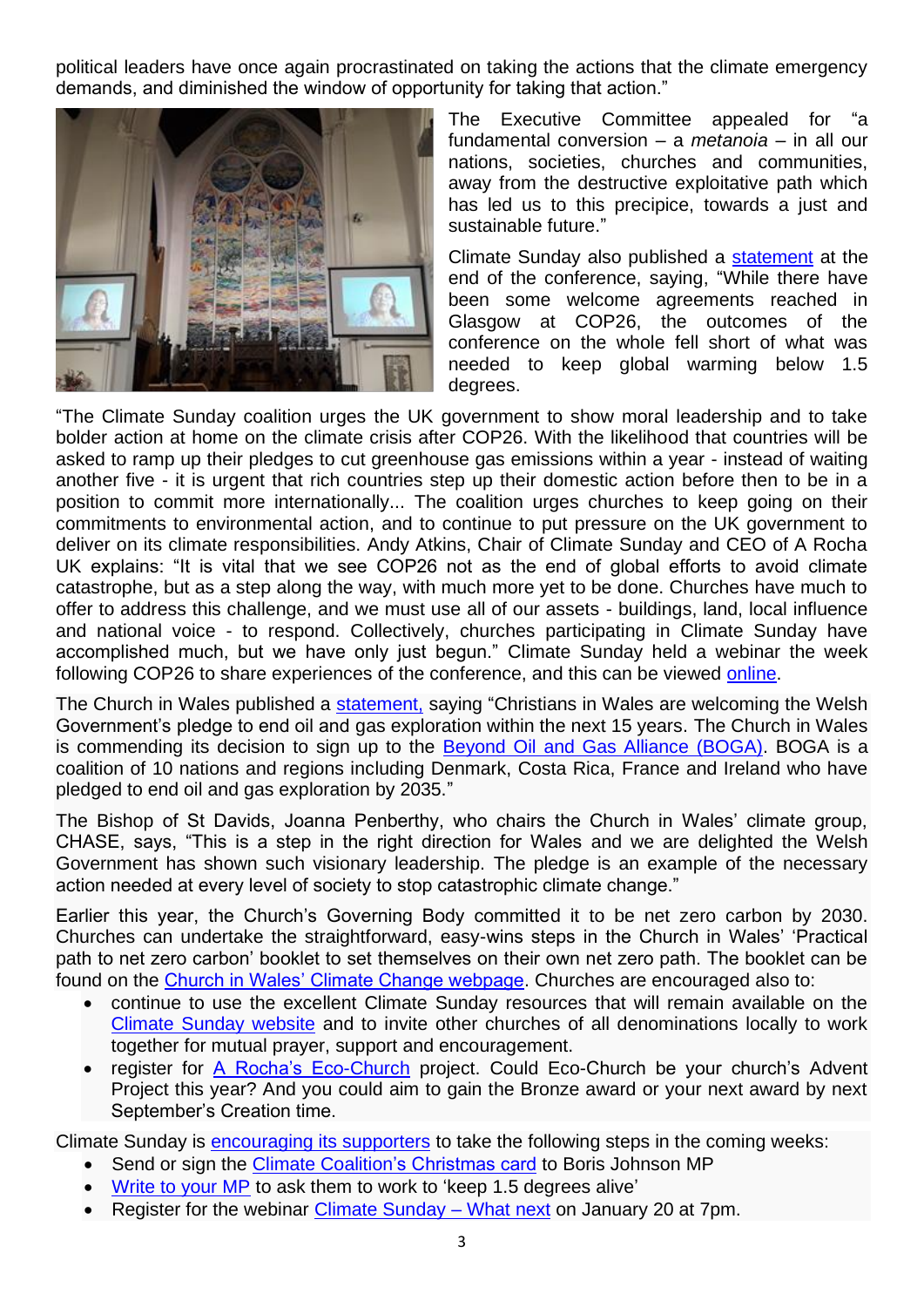political leaders have once again procrastinated on taking the actions that the climate emergency demands, and diminished the window of opportunity for taking that action."



The Executive Committee appealed for "a fundamental conversion – a *metanoia* – in all our nations, societies, churches and communities, away from the destructive exploitative path which has led us to this precipice, towards a just and sustainable future."

Climate Sunday also published a [statement](https://23100d34-ff98-46f5-ad81-a296cc22d25b.filesusr.com/ugd/fdade1_a21e7ed487584625a4559b3338ead094.pdf) at the end of the conference, saying, "While there have been some welcome agreements reached in Glasgow at COP26, the outcomes of the conference on the whole fell short of what was needed to keep global warming below 1.5 degrees.

"The Climate Sunday coalition urges the UK government to show moral leadership and to take bolder action at home on the climate crisis after COP26. With the likelihood that countries will be asked to ramp up their pledges to cut greenhouse gas emissions within a year - instead of waiting another five - it is urgent that rich countries step up their domestic action before then to be in a position to commit more internationally... The coalition urges churches to keep going on their commitments to environmental action, and to continue to put pressure on the UK government to deliver on its climate responsibilities. Andy Atkins, Chair of Climate Sunday and CEO of A Rocha UK explains: "It is vital that we see COP26 not as the end of global efforts to avoid climate catastrophe, but as a step along the way, with much more yet to be done. Churches have much to offer to address this challenge, and we must use all of our assets - buildings, land, local influence and national voice - to respond. Collectively, churches participating in Climate Sunday have accomplished much, but we have only just begun." Climate Sunday held a webinar the week following COP26 to share experiences of the conference, and this can be viewed [online.](https://www.climatesunday.org/climate-sunday-impressions-from-cop26?lang=cy)

The Church in Wales published a [statement,](https://www.churchinwales.org.uk/en/news-and-events/church-welcomes-welsh-government-pledge-on-fossil-fuels/) saying "Christians in Wales are welcoming the Welsh Government's pledge to end oil and gas exploration within the next 15 years. The Church in Wales is commending its decision to sign up to the [Beyond Oil and Gas Alliance \(BOGA\).](https://beyondoilandgasalliance.com/who-we-are/) BOGA is a coalition of 10 nations and regions including Denmark, Costa Rica, France and Ireland who have pledged to end oil and gas exploration by 2035."

The Bishop of St Davids, Joanna Penberthy, who chairs the Church in Wales' climate group, CHASE, says, "This is a step in the right direction for Wales and we are delighted the Welsh Government has shown such visionary leadership. The pledge is an example of the necessary action needed at every level of society to stop catastrophic climate change."

Earlier this year, the Church's Governing Body committed it to be net zero carbon by 2030. Churches can undertake the straightforward, easy-wins steps in the Church in Wales' 'Practical path to net zero carbon' booklet to set themselves on their own net zero path. The booklet can be found on the [Church in Wales' Climate Change webpage.](https://www.churchinwales.org.uk/en/about-us/our-campaigns/environment/) Churches are encouraged also to:

- continue to use the excellent Climate Sunday resources that will remain available on the [Climate Sunday website](http://www.climatesunday.org/) and to invite other churches of all denominations locally to work together for mutual prayer, support and encouragement.
- register for [A Rocha's Eco-Church](https://ecochurch.arocha.org.uk/) project. Could Eco-Church be your church's Advent Project this year? And you could aim to gain the Bronze award or your next award by next September's Creation time.

Climate Sunday is **encouraging its supporters** to take the following steps in the coming weeks:

- Send or sign the [Climate Coalition's Christmas card](https://www.theclimatecoalition.org/christmascard) to Boris Johnson MP
- [Write to your MP](https://www.theclimatecoalition.org/take-action) to ask them to work to 'keep 1.5 degrees alive'
- Register for the webinar [Climate Sunday –](https://us02web.zoom.us/webinar/register/3416371481178/WN_-e-03k0NQveinOz-l82fOA) What next on January 20 at 7pm.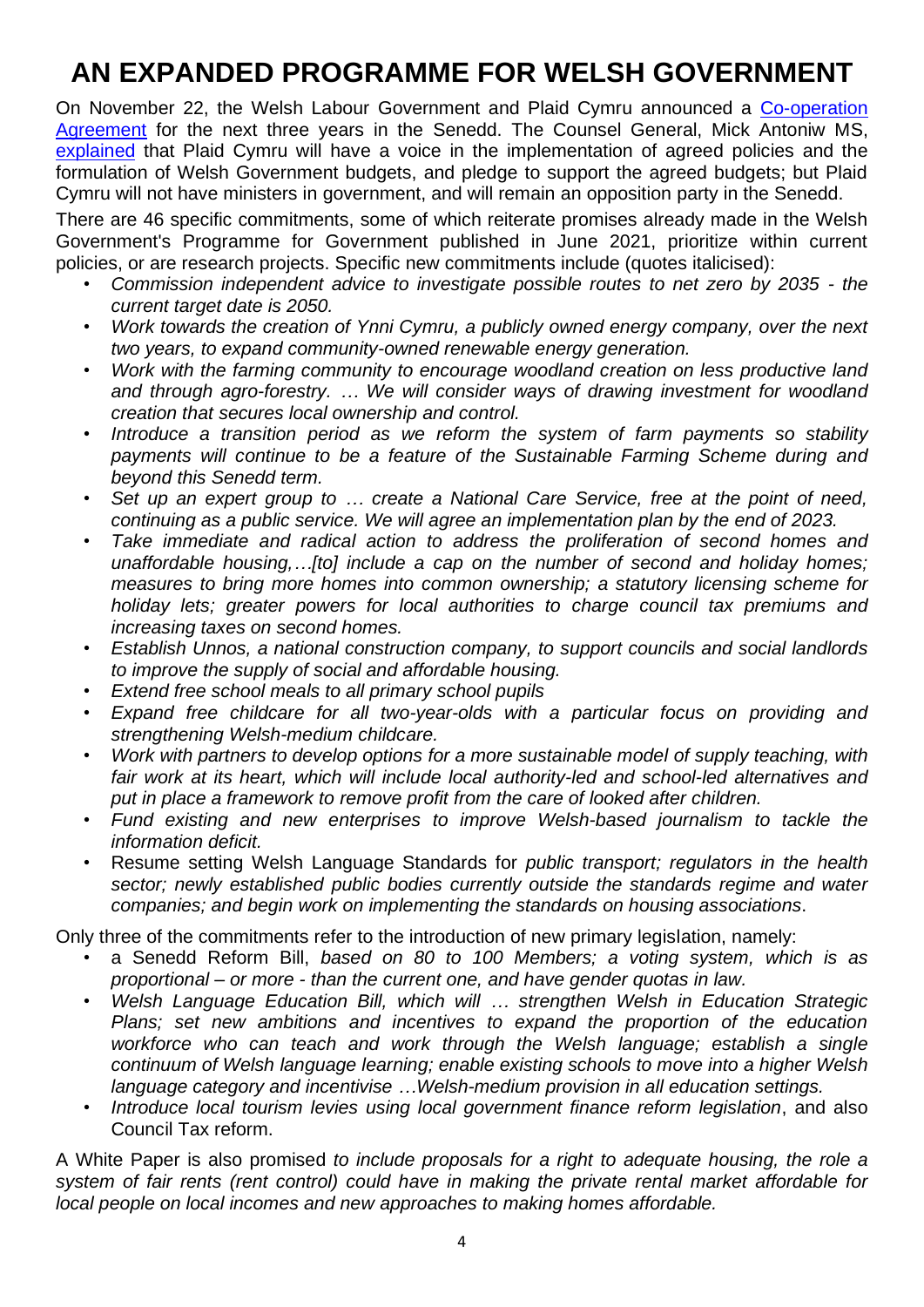# **AN EXPANDED PROGRAMME FOR WELSH GOVERNMENT**

On November 22, the Welsh Labour Government and Plaid Cymru announced a [Co-operation](https://gov.wales/co-operation-agreement-2021)  [Agreement](https://gov.wales/co-operation-agreement-2021) for the next three years in the Senedd. The Counsel General, Mick Antoniw MS, [explained](https://labourlist.org/2021/11/our-deal-with-plaid-cymru-will-help-deliver-our-radical-socialist-agenda/) that Plaid Cymru will have a voice in the implementation of agreed policies and the formulation of Welsh Government budgets, and pledge to support the agreed budgets; but Plaid Cymru will not have ministers in government, and will remain an opposition party in the Senedd.

There are 46 specific commitments, some of which reiterate promises already made in the Welsh Government's Programme for Government published in June 2021, prioritize within current policies, or are research projects. Specific new commitments include (quotes italicised):

- *Commission independent advice to investigate possible routes to net zero by 2035 - the current target date is 2050.*
- *Work towards the creation of Ynni Cymru, a publicly owned energy company, over the next two years, to expand community-owned renewable energy generation.*
- *Work with the farming community to encourage woodland creation on less productive land and through agro-forestry. … We will consider ways of drawing investment for woodland creation that secures local ownership and control.*
- *Introduce a transition period as we reform the system of farm payments so stability payments will continue to be a feature of the Sustainable Farming Scheme during and beyond this Senedd term.*
- *Set up an expert group to … create a National Care Service, free at the point of need, continuing as a public service. We will agree an implementation plan by the end of 2023.*
- *Take immediate and radical action to address the proliferation of second homes and unaffordable housing,…[to] include a cap on the number of second and holiday homes; measures to bring more homes into common ownership; a statutory licensing scheme for holiday lets; greater powers for local authorities to charge council tax premiums and increasing taxes on second homes.*
- *Establish Unnos, a national construction company, to support councils and social landlords to improve the supply of social and affordable housing.*
- *Extend free school meals to all primary school pupils*
- *Expand free childcare for all two-year-olds with a particular focus on providing and strengthening Welsh-medium childcare.*
- *Work with partners to develop options for a more sustainable model of supply teaching, with fair work at its heart, which will include local authority-led and school-led alternatives and put in place a framework to remove profit from the care of looked after children.*
- *Fund existing and new enterprises to improve Welsh-based journalism to tackle the information deficit.*
- Resume setting Welsh Language Standards for *public transport; regulators in the health sector; newly established public bodies currently outside the standards regime and water companies; and begin work on implementing the standards on housing associations*.

Only three of the commitments refer to the introduction of new primary legislation, namely:

- a Senedd Reform Bill, *based on 80 to 100 Members; a voting system, which is as proportional – or more - than the current one, and have gender quotas in law.*
- *Welsh Language Education Bill, which will … strengthen Welsh in Education Strategic Plans; set new ambitions and incentives to expand the proportion of the education workforce who can teach and work through the Welsh language; establish a single continuum of Welsh language learning; enable existing schools to move into a higher Welsh language category and incentivise …Welsh-medium provision in all education settings.*
- *Introduce local tourism levies using local government finance reform legislation*, and also Council Tax reform.

A White Paper is also promised *to include proposals for a right to adequate housing, the role a system of fair rents (rent control) could have in making the private rental market affordable for local people on local incomes and new approaches to making homes affordable.*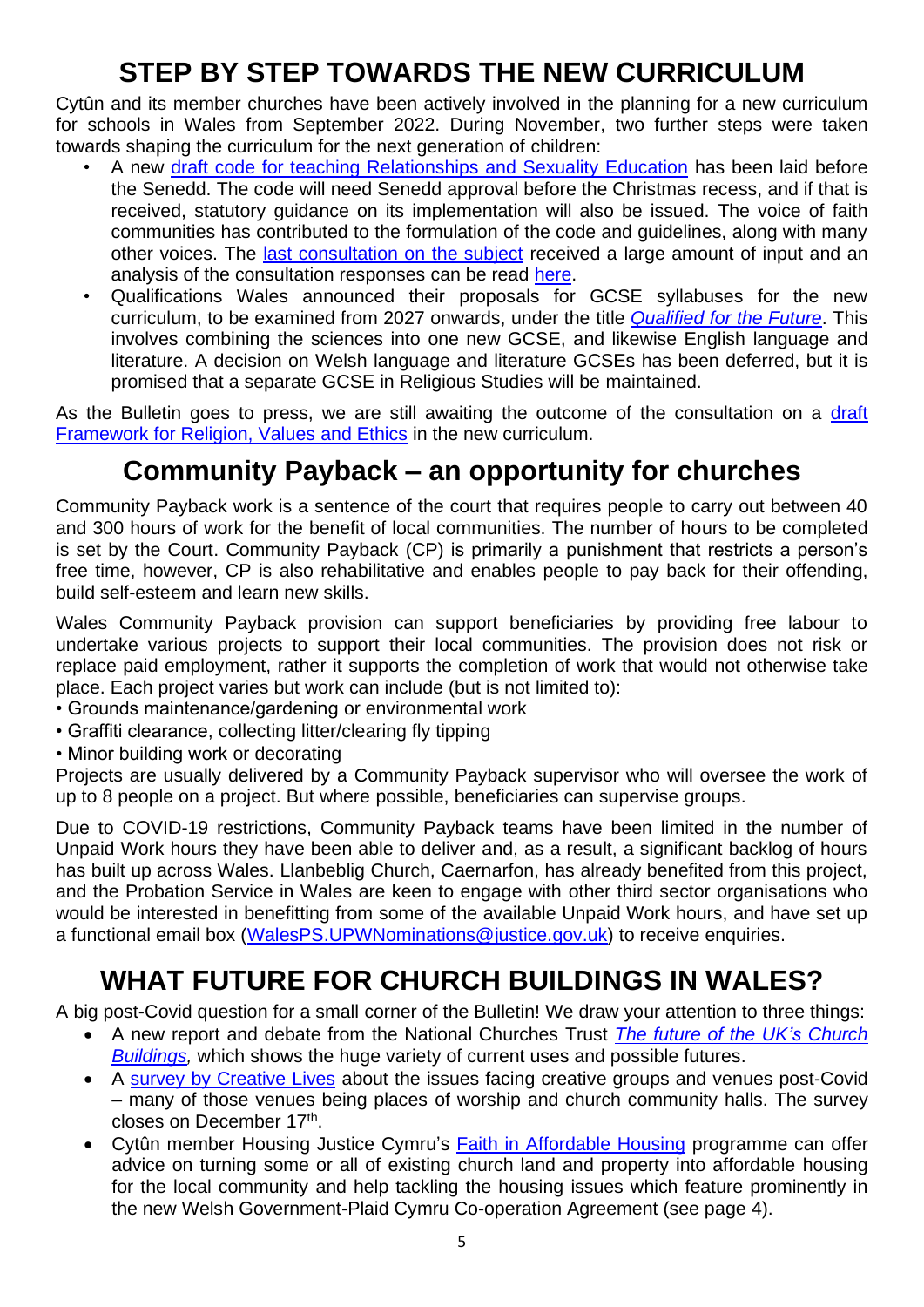## **STEP BY STEP TOWARDS THE NEW CURRICULUM**

Cytûn and its member churches have been actively involved in the planning for a new curriculum for schools in Wales from September 2022. During November, two further steps were taken towards shaping the curriculum for the next generation of children:

- A new [draft code for teaching Relationships and Sexuality Education](https://business.senedd.wales/mgIssueHistoryHome.aspx?IId=38403&Opt=0) has been laid before the Senedd. The code will need Senedd approval before the Christmas recess, and if that is received, statutory guidance on its implementation will also be issued. The voice of faith communities has contributed to the formulation of the code and guidelines, along with many other voices. The [last consultation on the subject](https://gov.wales/curriculum-wales-guidance-and-code-relationships-and-sexuality-education-rse) received a large amount of input and an analysis of the consultation responses can be read [here.](https://gov.wales/sites/default/files/consultations/2021-11/summary-of-responses.pdf)
- Qualifications Wales announced their proposals for GCSE syllabuses for the new curriculum, to be examined from 2027 onwards, under the title *[Qualified for the Future](https://www.qualificationswales.org/english/qualified-for-the-future---have-your-say/)*. This involves combining the sciences into one new GCSE, and likewise English language and literature. A decision on Welsh language and literature GCSEs has been deferred, but it is promised that a separate GCSE in Religious Studies will be maintained.

As the Bulletin goes to press, we are still awaiting the outcome of the consultation on a draft [Framework for Religion, Values and Ethics](https://gov.wales/guidance-design-and-delivery-mandatory-religion-values-and-ethics-rve) in the new curriculum.

#### **Community Payback – an opportunity for churches**

Community Payback work is a sentence of the court that requires people to carry out between 40 and 300 hours of work for the benefit of local communities. The number of hours to be completed is set by the Court. Community Payback (CP) is primarily a punishment that restricts a person's free time, however, CP is also rehabilitative and enables people to pay back for their offending, build self-esteem and learn new skills.

Wales Community Payback provision can support beneficiaries by providing free labour to undertake various projects to support their local communities. The provision does not risk or replace paid employment, rather it supports the completion of work that would not otherwise take place. Each project varies but work can include (but is not limited to):

- Grounds maintenance/gardening or environmental work
- Graffiti clearance, collecting litter/clearing fly tipping
- Minor building work or decorating

Projects are usually delivered by a Community Payback supervisor who will oversee the work of up to 8 people on a project. But where possible, beneficiaries can supervise groups.

Due to COVID-19 restrictions, Community Payback teams have been limited in the number of Unpaid Work hours they have been able to deliver and, as a result, a significant backlog of hours has built up across Wales. Llanbeblig Church, Caernarfon, has already benefited from this project, and the Probation Service in Wales are keen to engage with other third sector organisations who would be interested in benefitting from some of the available Unpaid Work hours, and have set up a functional email box [\(WalesPS.UPWNominations@justice.gov.uk\)](mailto:WalesPS.UPWNominations@justice.gov.uk) to receive enquiries.

#### **WHAT FUTURE FOR CHURCH BUILDINGS IN WALES?**

A big post-Covid question for a small corner of the Bulletin! We draw your attention to three things:

- A new report and debate from the National Churches Trust *[The future of the UK's](https://www.nationalchurchestrust.org/futureofchurches) Church Buildings*, which shows the huge variety of current uses and possible futures.
- A [survey by Creative Lives](https://www.creative-lives.org/news/creative-lives-survey-2021-spaces) about the issues facing creative groups and venues post-Covid – many of those venues being places of worship and church community halls. The survey closes on December 17<sup>th</sup>.
- Cytûn member Housing Justice Cymru's [Faith in Affordable Housing](https://housingjustice.org.uk/cymru/fiah) programme can offer advice on turning some or all of existing church land and property into affordable housing for the local community and help tackling the housing issues which feature prominently in the new Welsh Government-Plaid Cymru Co-operation Agreement (see page 4).